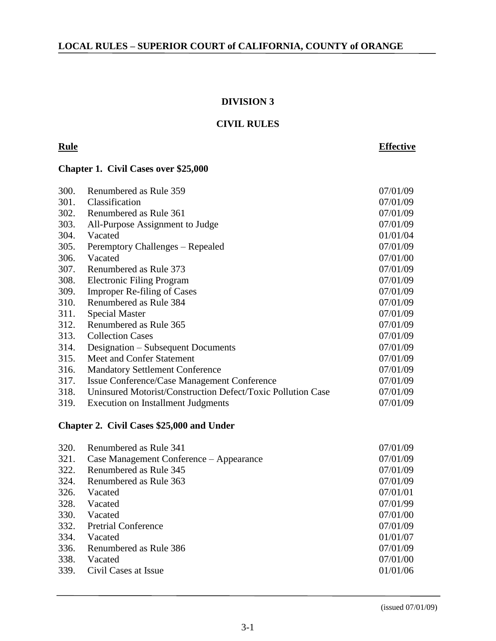#### **DIVISION 3**

### **CIVIL RULES**

# **Rule Effective**

# **Chapter 1. Civil Cases over \$25,000**

| 300. | Renumbered as Rule 359                                      | 07/01/09 |
|------|-------------------------------------------------------------|----------|
| 301. | Classification                                              | 07/01/09 |
| 302. | Renumbered as Rule 361                                      | 07/01/09 |
| 303. | All-Purpose Assignment to Judge                             | 07/01/09 |
| 304. | Vacated                                                     | 01/01/04 |
| 305. | Peremptory Challenges – Repealed                            | 07/01/09 |
| 306. | Vacated                                                     | 07/01/00 |
| 307. | Renumbered as Rule 373                                      | 07/01/09 |
| 308. | Electronic Filing Program                                   | 07/01/09 |
| 309. | <b>Improper Re-filing of Cases</b>                          | 07/01/09 |
| 310. | Renumbered as Rule 384                                      | 07/01/09 |
| 311. | <b>Special Master</b>                                       | 07/01/09 |
| 312. | Renumbered as Rule 365                                      | 07/01/09 |
| 313. | <b>Collection Cases</b>                                     | 07/01/09 |
| 314. | Designation – Subsequent Documents                          | 07/01/09 |
| 315. | Meet and Confer Statement                                   | 07/01/09 |
| 316. | <b>Mandatory Settlement Conference</b>                      | 07/01/09 |
| 317. | Issue Conference/Case Management Conference                 | 07/01/09 |
| 318. | Uninsured Motorist/Construction Defect/Toxic Pollution Case | 07/01/09 |
| 319. | Execution on Installment Judgments                          | 07/01/09 |

## **Chapter 2. Civil Cases \$25,000 and Under**

| 321.<br>Case Management Conference – Appearance<br>322.<br>Renumbered as Rule 345<br>324.<br>Renumbered as Rule 363<br>326.<br>Vacated<br>328.<br>Vacated<br>330.<br>Vacated<br>332.<br><b>Pretrial Conference</b><br>334.<br>Vacated<br>Renumbered as Rule 386<br>336.<br>338.<br>Vacated<br>339.<br>Civil Cases at Issue | 320. | Renumbered as Rule 341 | 07/01/09 |
|----------------------------------------------------------------------------------------------------------------------------------------------------------------------------------------------------------------------------------------------------------------------------------------------------------------------------|------|------------------------|----------|
|                                                                                                                                                                                                                                                                                                                            |      |                        | 07/01/09 |
|                                                                                                                                                                                                                                                                                                                            |      |                        | 07/01/09 |
|                                                                                                                                                                                                                                                                                                                            |      |                        | 07/01/09 |
|                                                                                                                                                                                                                                                                                                                            |      |                        | 07/01/01 |
|                                                                                                                                                                                                                                                                                                                            |      |                        | 07/01/99 |
|                                                                                                                                                                                                                                                                                                                            |      |                        | 07/01/00 |
|                                                                                                                                                                                                                                                                                                                            |      |                        | 07/01/09 |
|                                                                                                                                                                                                                                                                                                                            |      |                        | 01/01/07 |
|                                                                                                                                                                                                                                                                                                                            |      |                        | 07/01/09 |
|                                                                                                                                                                                                                                                                                                                            |      |                        | 07/01/00 |
|                                                                                                                                                                                                                                                                                                                            |      |                        | 01/01/06 |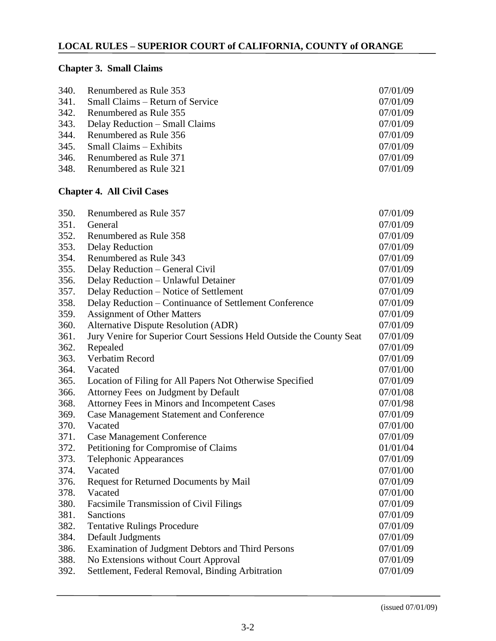# **Chapter 3. Small Claims**

| 340. Renumbered as Rule 353           | 07/01/09 |
|---------------------------------------|----------|
| 341. Small Claims – Return of Service | 07/01/09 |
| 342. Renumbered as Rule 355           | 07/01/09 |
| 343. Delay Reduction – Small Claims   | 07/01/09 |
| 344. Renumbered as Rule 356           | 07/01/09 |
| $345.$ Small Claims – Exhibits        | 07/01/09 |
| 346. Renumbered as Rule 371           | 07/01/09 |
| 348. Renumbered as Rule 321           | 07/01/09 |

# **Chapter 4. All Civil Cases**

| 350. | Renumbered as Rule 357                                               | 07/01/09 |
|------|----------------------------------------------------------------------|----------|
| 351. | General                                                              | 07/01/09 |
| 352. | Renumbered as Rule 358                                               | 07/01/09 |
| 353. | <b>Delay Reduction</b>                                               | 07/01/09 |
| 354. | Renumbered as Rule 343                                               | 07/01/09 |
| 355. | Delay Reduction - General Civil                                      | 07/01/09 |
| 356. | Delay Reduction - Unlawful Detainer                                  | 07/01/09 |
| 357. | Delay Reduction - Notice of Settlement                               | 07/01/09 |
| 358. | Delay Reduction – Continuance of Settlement Conference               | 07/01/09 |
| 359. | <b>Assignment of Other Matters</b>                                   | 07/01/09 |
| 360. | <b>Alternative Dispute Resolution (ADR)</b>                          | 07/01/09 |
| 361. | Jury Venire for Superior Court Sessions Held Outside the County Seat | 07/01/09 |
| 362. | Repealed                                                             | 07/01/09 |
| 363. | Verbatim Record                                                      | 07/01/09 |
| 364. | Vacated                                                              | 07/01/00 |
| 365. | Location of Filing for All Papers Not Otherwise Specified            | 07/01/09 |
| 366. | Attorney Fees on Judgment by Default                                 | 07/01/08 |
| 368. | Attorney Fees in Minors and Incompetent Cases                        | 07/01/98 |
| 369. | <b>Case Management Statement and Conference</b>                      | 07/01/09 |
| 370. | Vacated                                                              | 07/01/00 |
| 371. | <b>Case Management Conference</b>                                    | 07/01/09 |
| 372. | Petitioning for Compromise of Claims                                 | 01/01/04 |
| 373. | <b>Telephonic Appearances</b>                                        | 07/01/09 |
| 374. | Vacated                                                              | 07/01/00 |
| 376. | Request for Returned Documents by Mail                               | 07/01/09 |
| 378. | Vacated                                                              | 07/01/00 |
| 380. | Facsimile Transmission of Civil Filings                              | 07/01/09 |
| 381. | Sanctions                                                            | 07/01/09 |
| 382. | <b>Tentative Rulings Procedure</b>                                   | 07/01/09 |
| 384. | Default Judgments                                                    | 07/01/09 |
| 386. | Examination of Judgment Debtors and Third Persons                    | 07/01/09 |
| 388. | No Extensions without Court Approval                                 | 07/01/09 |
| 392. | Settlement, Federal Removal, Binding Arbitration                     | 07/01/09 |
|      |                                                                      |          |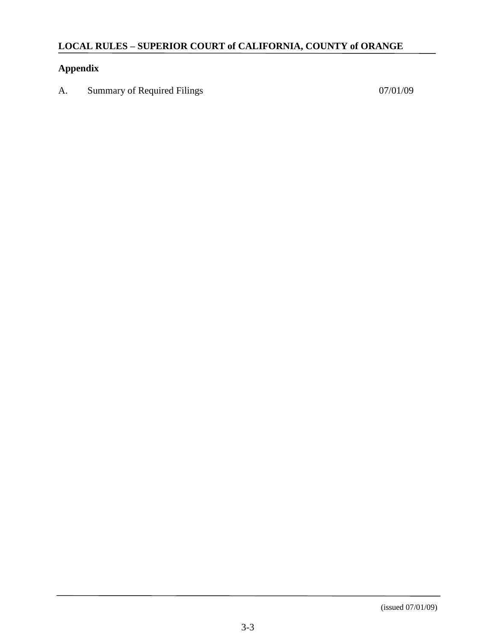# **Appendix**

A. Summary of Required Filings 07/01/09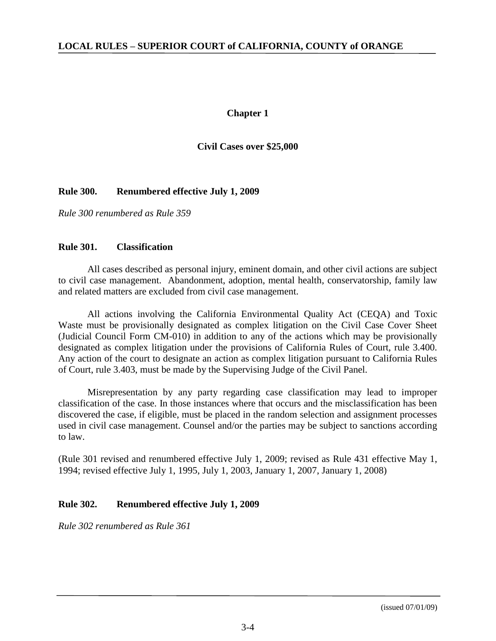#### **Chapter 1**

#### **Civil Cases over \$25,000**

## **Rule 300. Renumbered effective July 1, 2009**

*Rule 300 renumbered as Rule 359*

#### **Rule 301. Classification**

All cases described as personal injury, eminent domain, and other civil actions are subject to civil case management. Abandonment, adoption, mental health, conservatorship, family law and related matters are excluded from civil case management.

All actions involving the California Environmental Quality Act (CEQA) and Toxic Waste must be provisionally designated as complex litigation on the Civil Case Cover Sheet (Judicial Council Form CM-010) in addition to any of the actions which may be provisionally designated as complex litigation under the provisions of California Rules of Court, rule 3.400. Any action of the court to designate an action as complex litigation pursuant to California Rules of Court, rule 3.403, must be made by the Supervising Judge of the Civil Panel.

Misrepresentation by any party regarding case classification may lead to improper classification of the case. In those instances where that occurs and the misclassification has been discovered the case, if eligible, must be placed in the random selection and assignment processes used in civil case management. Counsel and/or the parties may be subject to sanctions according to law.

(Rule 301 revised and renumbered effective July 1, 2009; revised as Rule 431 effective May 1, 1994; revised effective July 1, 1995, July 1, 2003, January 1, 2007, January 1, 2008)

# **Rule 302. Renumbered effective July 1, 2009**

*Rule 302 renumbered as Rule 361*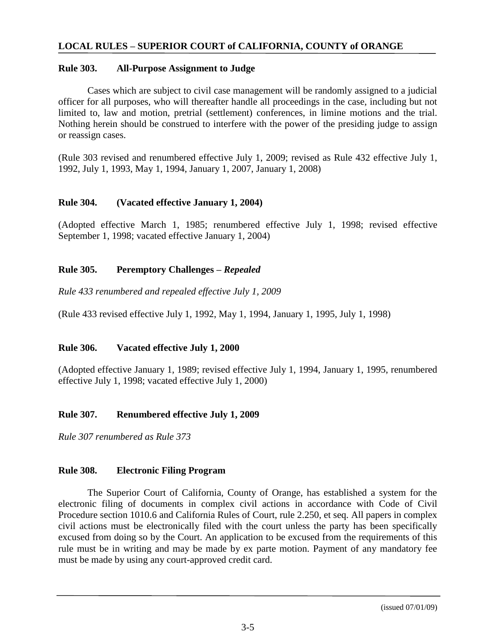#### **Rule 303. All-Purpose Assignment to Judge**

Cases which are subject to civil case management will be randomly assigned to a judicial officer for all purposes, who will thereafter handle all proceedings in the case, including but not limited to, law and motion, pretrial (settlement) conferences, in limine motions and the trial. Nothing herein should be construed to interfere with the power of the presiding judge to assign or reassign cases.

(Rule 303 revised and renumbered effective July 1, 2009; revised as Rule 432 effective July 1, 1992, July 1, 1993, May 1, 1994, January 1, 2007, January 1, 2008)

#### **Rule 304. (Vacated effective January 1, 2004)**

(Adopted effective March 1, 1985; renumbered effective July 1, 1998; revised effective September 1, 1998; vacated effective January 1, 2004)

#### **Rule 305. Peremptory Challenges –** *Repealed*

*Rule 433 renumbered and repealed effective July 1, 2009*

(Rule 433 revised effective July 1, 1992, May 1, 1994, January 1, 1995, July 1, 1998)

#### **Rule 306. Vacated effective July 1, 2000**

(Adopted effective January 1, 1989; revised effective July 1, 1994, January 1, 1995, renumbered effective July 1, 1998; vacated effective July 1, 2000)

# **Rule 307. Renumbered effective July 1, 2009**

*Rule 307 renumbered as Rule 373*

#### **Rule 308. Electronic Filing Program**

The Superior Court of California, County of Orange, has established a system for the electronic filing of documents in complex civil actions in accordance with Code of Civil Procedure section 1010.6 and California Rules of Court, rule 2.250, et seq. All papers in complex civil actions must be electronically filed with the court unless the party has been specifically excused from doing so by the Court. An application to be excused from the requirements of this rule must be in writing and may be made by ex parte motion. Payment of any mandatory fee must be made by using any court-approved credit card.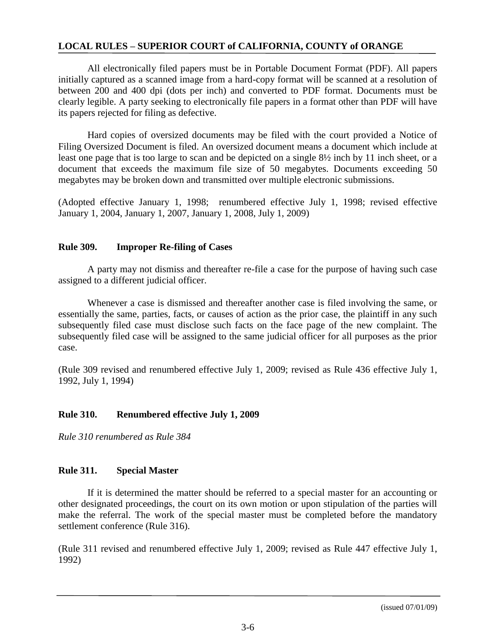All electronically filed papers must be in Portable Document Format (PDF). All papers initially captured as a scanned image from a hard-copy format will be scanned at a resolution of between 200 and 400 dpi (dots per inch) and converted to PDF format. Documents must be clearly legible. A party seeking to electronically file papers in a format other than PDF will have its papers rejected for filing as defective.

Hard copies of oversized documents may be filed with the court provided a Notice of Filing Oversized Document is filed. An oversized document means a document which include at least one page that is too large to scan and be depicted on a single 8½ inch by 11 inch sheet, or a document that exceeds the maximum file size of 50 megabytes. Documents exceeding 50 megabytes may be broken down and transmitted over multiple electronic submissions.

(Adopted effective January 1, 1998; renumbered effective July 1, 1998; revised effective January 1, 2004, January 1, 2007, January 1, 2008, July 1, 2009)

## **Rule 309. Improper Re-filing of Cases**

A party may not dismiss and thereafter re-file a case for the purpose of having such case assigned to a different judicial officer.

Whenever a case is dismissed and thereafter another case is filed involving the same, or essentially the same, parties, facts, or causes of action as the prior case, the plaintiff in any such subsequently filed case must disclose such facts on the face page of the new complaint. The subsequently filed case will be assigned to the same judicial officer for all purposes as the prior case.

(Rule 309 revised and renumbered effective July 1, 2009; revised as Rule 436 effective July 1, 1992, July 1, 1994)

# **Rule 310. Renumbered effective July 1, 2009**

*Rule 310 renumbered as Rule 384*

# **Rule 311. Special Master**

If it is determined the matter should be referred to a special master for an accounting or other designated proceedings, the court on its own motion or upon stipulation of the parties will make the referral. The work of the special master must be completed before the mandatory settlement conference (Rule 316).

(Rule 311 revised and renumbered effective July 1, 2009; revised as Rule 447 effective July 1, 1992)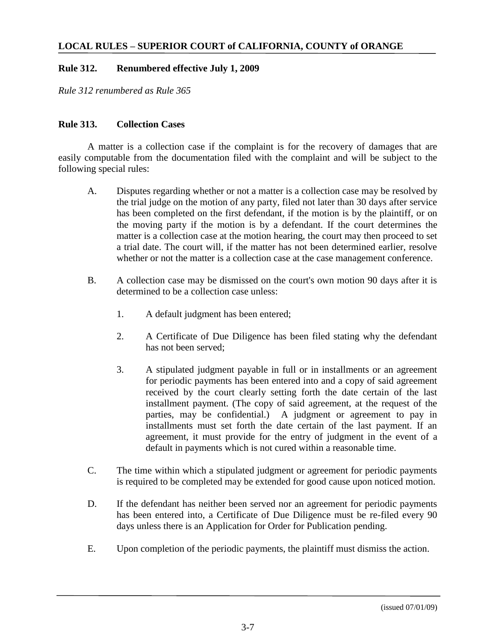# **Rule 312. Renumbered effective July 1, 2009**

*Rule 312 renumbered as Rule 365*

# **Rule 313. Collection Cases**

A matter is a collection case if the complaint is for the recovery of damages that are easily computable from the documentation filed with the complaint and will be subject to the following special rules:

- A. Disputes regarding whether or not a matter is a collection case may be resolved by the trial judge on the motion of any party, filed not later than 30 days after service has been completed on the first defendant, if the motion is by the plaintiff, or on the moving party if the motion is by a defendant. If the court determines the matter is a collection case at the motion hearing, the court may then proceed to set a trial date. The court will, if the matter has not been determined earlier, resolve whether or not the matter is a collection case at the case management conference.
- B. A collection case may be dismissed on the court's own motion 90 days after it is determined to be a collection case unless:
	- 1. A default judgment has been entered;
	- 2. A Certificate of Due Diligence has been filed stating why the defendant has not been served;
	- 3. A stipulated judgment payable in full or in installments or an agreement for periodic payments has been entered into and a copy of said agreement received by the court clearly setting forth the date certain of the last installment payment. (The copy of said agreement, at the request of the parties, may be confidential.) A judgment or agreement to pay in installments must set forth the date certain of the last payment. If an agreement, it must provide for the entry of judgment in the event of a default in payments which is not cured within a reasonable time.
- C. The time within which a stipulated judgment or agreement for periodic payments is required to be completed may be extended for good cause upon noticed motion.
- D. If the defendant has neither been served nor an agreement for periodic payments has been entered into, a Certificate of Due Diligence must be re-filed every 90 days unless there is an Application for Order for Publication pending.
- E. Upon completion of the periodic payments, the plaintiff must dismiss the action.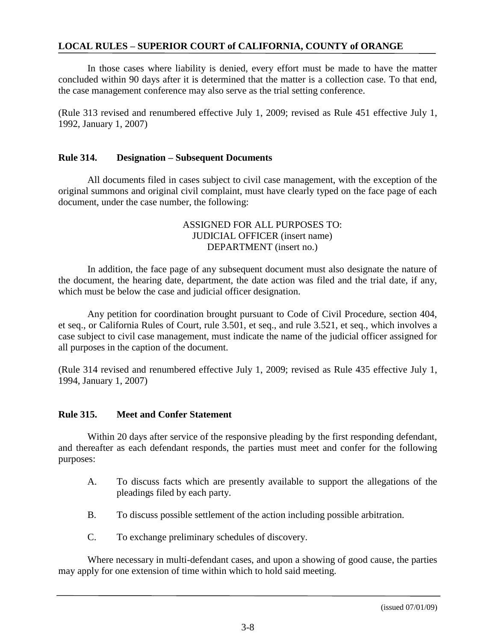In those cases where liability is denied, every effort must be made to have the matter concluded within 90 days after it is determined that the matter is a collection case. To that end, the case management conference may also serve as the trial setting conference.

(Rule 313 revised and renumbered effective July 1, 2009; revised as Rule 451 effective July 1, 1992, January 1, 2007)

#### **Rule 314. Designation – Subsequent Documents**

All documents filed in cases subject to civil case management, with the exception of the original summons and original civil complaint, must have clearly typed on the face page of each document, under the case number, the following:

### ASSIGNED FOR ALL PURPOSES TO: JUDICIAL OFFICER (insert name) DEPARTMENT (insert no.)

In addition, the face page of any subsequent document must also designate the nature of the document, the hearing date, department, the date action was filed and the trial date, if any, which must be below the case and judicial officer designation.

Any petition for coordination brought pursuant to Code of Civil Procedure, section 404, et seq., or California Rules of Court, rule 3.501, et seq., and rule 3.521, et seq., which involves a case subject to civil case management, must indicate the name of the judicial officer assigned for all purposes in the caption of the document.

(Rule 314 revised and renumbered effective July 1, 2009; revised as Rule 435 effective July 1, 1994, January 1, 2007)

#### **Rule 315. Meet and Confer Statement**

Within 20 days after service of the responsive pleading by the first responding defendant, and thereafter as each defendant responds, the parties must meet and confer for the following purposes:

- A. To discuss facts which are presently available to support the allegations of the pleadings filed by each party.
- B. To discuss possible settlement of the action including possible arbitration.
- C. To exchange preliminary schedules of discovery.

Where necessary in multi-defendant cases, and upon a showing of good cause, the parties may apply for one extension of time within which to hold said meeting.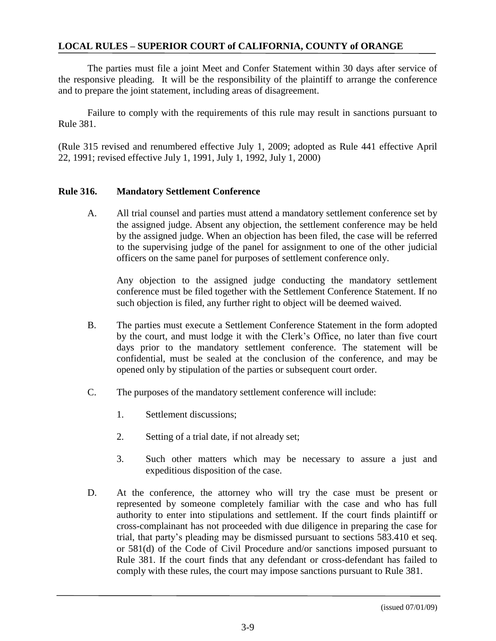The parties must file a joint Meet and Confer Statement within 30 days after service of the responsive pleading. It will be the responsibility of the plaintiff to arrange the conference and to prepare the joint statement, including areas of disagreement.

Failure to comply with the requirements of this rule may result in sanctions pursuant to Rule 381.

(Rule 315 revised and renumbered effective July 1, 2009; adopted as Rule 441 effective April 22, 1991; revised effective July 1, 1991, July 1, 1992, July 1, 2000)

#### **Rule 316. Mandatory Settlement Conference**

A. All trial counsel and parties must attend a mandatory settlement conference set by the assigned judge. Absent any objection, the settlement conference may be held by the assigned judge. When an objection has been filed, the case will be referred to the supervising judge of the panel for assignment to one of the other judicial officers on the same panel for purposes of settlement conference only.

Any objection to the assigned judge conducting the mandatory settlement conference must be filed together with the Settlement Conference Statement. If no such objection is filed, any further right to object will be deemed waived.

- B. The parties must execute a Settlement Conference Statement in the form adopted by the court, and must lodge it with the Clerk's Office, no later than five court days prior to the mandatory settlement conference. The statement will be confidential, must be sealed at the conclusion of the conference, and may be opened only by stipulation of the parties or subsequent court order.
- C. The purposes of the mandatory settlement conference will include:
	- 1. Settlement discussions;
	- 2. Setting of a trial date, if not already set;
	- 3. Such other matters which may be necessary to assure a just and expeditious disposition of the case.
- D. At the conference, the attorney who will try the case must be present or represented by someone completely familiar with the case and who has full authority to enter into stipulations and settlement. If the court finds plaintiff or cross-complainant has not proceeded with due diligence in preparing the case for trial, that party's pleading may be dismissed pursuant to sections 583.410 et seq. or 581(d) of the Code of Civil Procedure and/or sanctions imposed pursuant to Rule 381. If the court finds that any defendant or cross-defendant has failed to comply with these rules, the court may impose sanctions pursuant to Rule 381.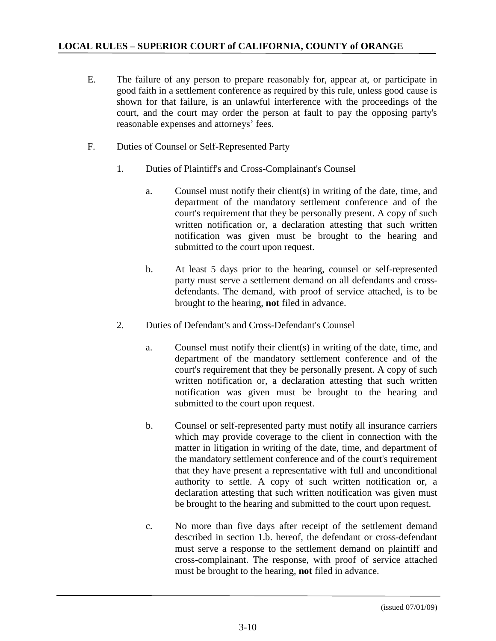- E. The failure of any person to prepare reasonably for, appear at, or participate in good faith in a settlement conference as required by this rule, unless good cause is shown for that failure, is an unlawful interference with the proceedings of the court, and the court may order the person at fault to pay the opposing party's reasonable expenses and attorneys' fees.
- F. Duties of Counsel or Self-Represented Party
	- 1. Duties of Plaintiff's and Cross-Complainant's Counsel
		- a. Counsel must notify their client(s) in writing of the date, time, and department of the mandatory settlement conference and of the court's requirement that they be personally present. A copy of such written notification or, a declaration attesting that such written notification was given must be brought to the hearing and submitted to the court upon request.
		- b. At least 5 days prior to the hearing, counsel or self-represented party must serve a settlement demand on all defendants and crossdefendants. The demand, with proof of service attached, is to be brought to the hearing, **not** filed in advance.
	- 2. Duties of Defendant's and Cross-Defendant's Counsel
		- a. Counsel must notify their client(s) in writing of the date, time, and department of the mandatory settlement conference and of the court's requirement that they be personally present. A copy of such written notification or, a declaration attesting that such written notification was given must be brought to the hearing and submitted to the court upon request.
		- b. Counsel or self-represented party must notify all insurance carriers which may provide coverage to the client in connection with the matter in litigation in writing of the date, time, and department of the mandatory settlement conference and of the court's requirement that they have present a representative with full and unconditional authority to settle. A copy of such written notification or, a declaration attesting that such written notification was given must be brought to the hearing and submitted to the court upon request.
		- c. No more than five days after receipt of the settlement demand described in section 1.b. hereof, the defendant or cross-defendant must serve a response to the settlement demand on plaintiff and cross-complainant. The response, with proof of service attached must be brought to the hearing, **not** filed in advance.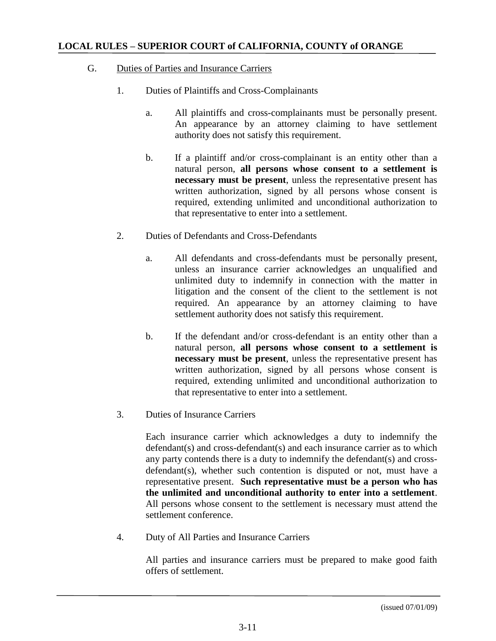# G. Duties of Parties and Insurance Carriers

- 1. Duties of Plaintiffs and Cross-Complainants
	- a. All plaintiffs and cross-complainants must be personally present. An appearance by an attorney claiming to have settlement authority does not satisfy this requirement.
	- b. If a plaintiff and/or cross-complainant is an entity other than a natural person, **all persons whose consent to a settlement is necessary must be present**, unless the representative present has written authorization, signed by all persons whose consent is required, extending unlimited and unconditional authorization to that representative to enter into a settlement.
- 2. Duties of Defendants and Cross-Defendants
	- a. All defendants and cross-defendants must be personally present, unless an insurance carrier acknowledges an unqualified and unlimited duty to indemnify in connection with the matter in litigation and the consent of the client to the settlement is not required. An appearance by an attorney claiming to have settlement authority does not satisfy this requirement.
	- b. If the defendant and/or cross-defendant is an entity other than a natural person, **all persons whose consent to a settlement is necessary must be present**, unless the representative present has written authorization, signed by all persons whose consent is required, extending unlimited and unconditional authorization to that representative to enter into a settlement.
- 3. Duties of Insurance Carriers

Each insurance carrier which acknowledges a duty to indemnify the defendant(s) and cross-defendant(s) and each insurance carrier as to which any party contends there is a duty to indemnify the defendant(s) and crossdefendant(s), whether such contention is disputed or not, must have a representative present. **Such representative must be a person who has the unlimited and unconditional authority to enter into a settlement**. All persons whose consent to the settlement is necessary must attend the settlement conference.

4. Duty of All Parties and Insurance Carriers

All parties and insurance carriers must be prepared to make good faith offers of settlement.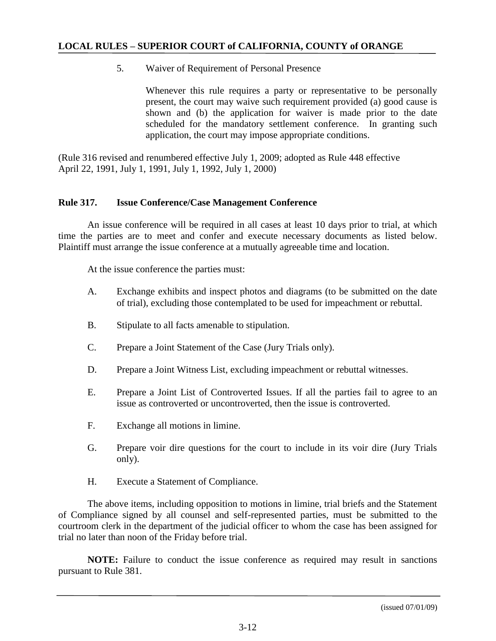5. Waiver of Requirement of Personal Presence

Whenever this rule requires a party or representative to be personally present, the court may waive such requirement provided (a) good cause is shown and (b) the application for waiver is made prior to the date scheduled for the mandatory settlement conference. In granting such application, the court may impose appropriate conditions.

(Rule 316 revised and renumbered effective July 1, 2009; adopted as Rule 448 effective April 22, 1991, July 1, 1991, July 1, 1992, July 1, 2000)

#### **Rule 317. Issue Conference/Case Management Conference**

An issue conference will be required in all cases at least 10 days prior to trial, at which time the parties are to meet and confer and execute necessary documents as listed below. Plaintiff must arrange the issue conference at a mutually agreeable time and location.

At the issue conference the parties must:

- A. Exchange exhibits and inspect photos and diagrams (to be submitted on the date of trial), excluding those contemplated to be used for impeachment or rebuttal.
- B. Stipulate to all facts amenable to stipulation.
- C. Prepare a Joint Statement of the Case (Jury Trials only).
- D. Prepare a Joint Witness List, excluding impeachment or rebuttal witnesses.
- E. Prepare a Joint List of Controverted Issues. If all the parties fail to agree to an issue as controverted or uncontroverted, then the issue is controverted.
- F. Exchange all motions in limine.
- G. Prepare voir dire questions for the court to include in its voir dire (Jury Trials only).
- H. Execute a Statement of Compliance.

The above items, including opposition to motions in limine, trial briefs and the Statement of Compliance signed by all counsel and self-represented parties, must be submitted to the courtroom clerk in the department of the judicial officer to whom the case has been assigned for trial no later than noon of the Friday before trial.

**NOTE:** Failure to conduct the issue conference as required may result in sanctions pursuant to Rule 381.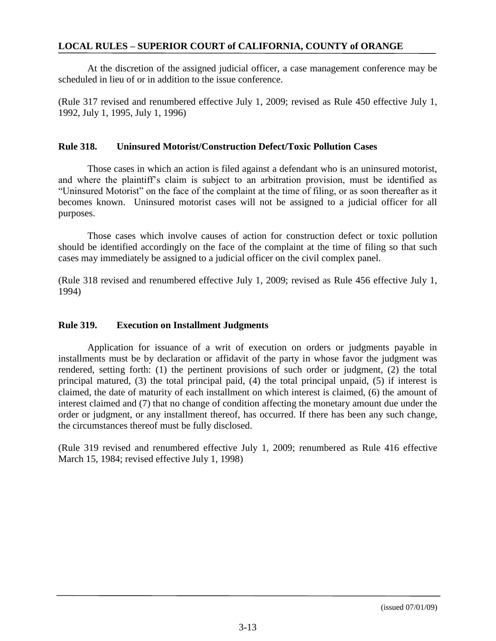At the discretion of the assigned judicial officer, a case management conference may be scheduled in lieu of or in addition to the issue conference.

(Rule 317 revised and renumbered effective July 1, 2009; revised as Rule 450 effective July 1, 1992, July 1, 1995, July 1, 1996)

#### **Rule 318. Uninsured Motorist/Construction Defect/Toxic Pollution Cases**

Those cases in which an action is filed against a defendant who is an uninsured motorist, and where the plaintiff's claim is subject to an arbitration provision, must be identified as "Uninsured Motorist" on the face of the complaint at the time of filing, or as soon thereafter as it becomes known. Uninsured motorist cases will not be assigned to a judicial officer for all purposes.

Those cases which involve causes of action for construction defect or toxic pollution should be identified accordingly on the face of the complaint at the time of filing so that such cases may immediately be assigned to a judicial officer on the civil complex panel.

(Rule 318 revised and renumbered effective July 1, 2009; revised as Rule 456 effective July 1, 1994)

#### **Rule 319. Execution on Installment Judgments**

Application for issuance of a writ of execution on orders or judgments payable in installments must be by declaration or affidavit of the party in whose favor the judgment was rendered, setting forth: (1) the pertinent provisions of such order or judgment, (2) the total principal matured, (3) the total principal paid, (4) the total principal unpaid, (5) if interest is claimed, the date of maturity of each installment on which interest is claimed, (6) the amount of interest claimed and (7) that no change of condition affecting the monetary amount due under the order or judgment, or any installment thereof, has occurred. If there has been any such change, the circumstances thereof must be fully disclosed.

(Rule 319 revised and renumbered effective July 1, 2009; renumbered as Rule 416 effective March 15, 1984; revised effective July 1, 1998)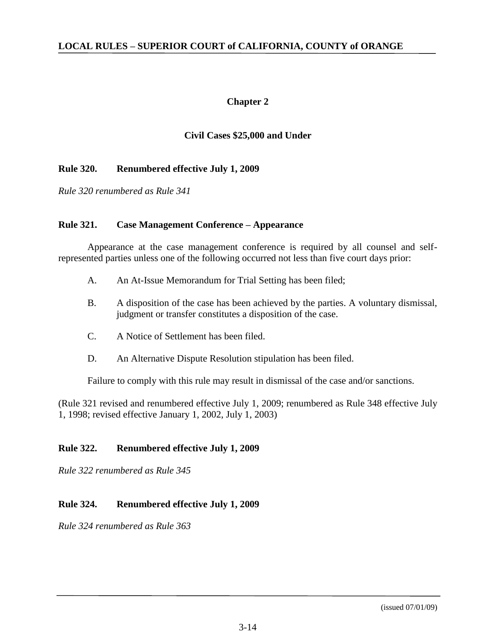# **Chapter 2**

# **Civil Cases \$25,000 and Under**

## **Rule 320. Renumbered effective July 1, 2009**

*Rule 320 renumbered as Rule 341*

## **Rule 321. Case Management Conference – Appearance**

Appearance at the case management conference is required by all counsel and selfrepresented parties unless one of the following occurred not less than five court days prior:

- A. An At-Issue Memorandum for Trial Setting has been filed;
- B. A disposition of the case has been achieved by the parties. A voluntary dismissal, judgment or transfer constitutes a disposition of the case.
- C. A Notice of Settlement has been filed.
- D. An Alternative Dispute Resolution stipulation has been filed.

Failure to comply with this rule may result in dismissal of the case and/or sanctions.

(Rule 321 revised and renumbered effective July 1, 2009; renumbered as Rule 348 effective July 1, 1998; revised effective January 1, 2002, July 1, 2003)

# **Rule 322. Renumbered effective July 1, 2009**

*Rule 322 renumbered as Rule 345*

# **Rule 324. Renumbered effective July 1, 2009**

*Rule 324 renumbered as Rule 363*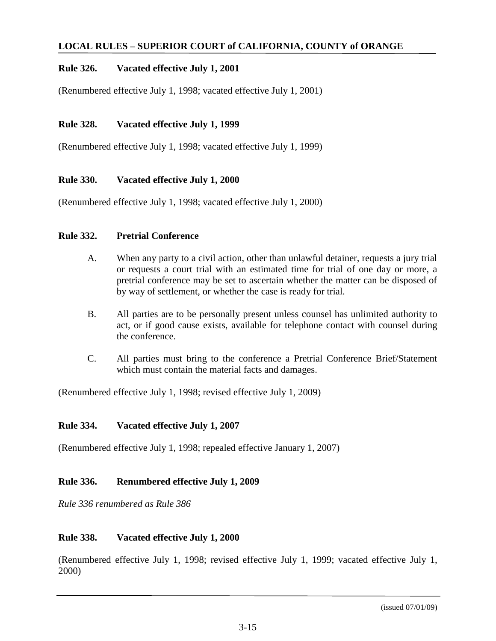# **Rule 326. Vacated effective July 1, 2001**

(Renumbered effective July 1, 1998; vacated effective July 1, 2001)

## **Rule 328. Vacated effective July 1, 1999**

(Renumbered effective July 1, 1998; vacated effective July 1, 1999)

## **Rule 330. Vacated effective July 1, 2000**

(Renumbered effective July 1, 1998; vacated effective July 1, 2000)

#### **Rule 332. Pretrial Conference**

- A. When any party to a civil action, other than unlawful detainer, requests a jury trial or requests a court trial with an estimated time for trial of one day or more, a pretrial conference may be set to ascertain whether the matter can be disposed of by way of settlement, or whether the case is ready for trial.
- B. All parties are to be personally present unless counsel has unlimited authority to act, or if good cause exists, available for telephone contact with counsel during the conference.
- C. All parties must bring to the conference a Pretrial Conference Brief/Statement which must contain the material facts and damages.

(Renumbered effective July 1, 1998; revised effective July 1, 2009)

#### **Rule 334. Vacated effective July 1, 2007**

(Renumbered effective July 1, 1998; repealed effective January 1, 2007)

#### **Rule 336. Renumbered effective July 1, 2009**

*Rule 336 renumbered as Rule 386*

#### **Rule 338. Vacated effective July 1, 2000**

(Renumbered effective July 1, 1998; revised effective July 1, 1999; vacated effective July 1, 2000)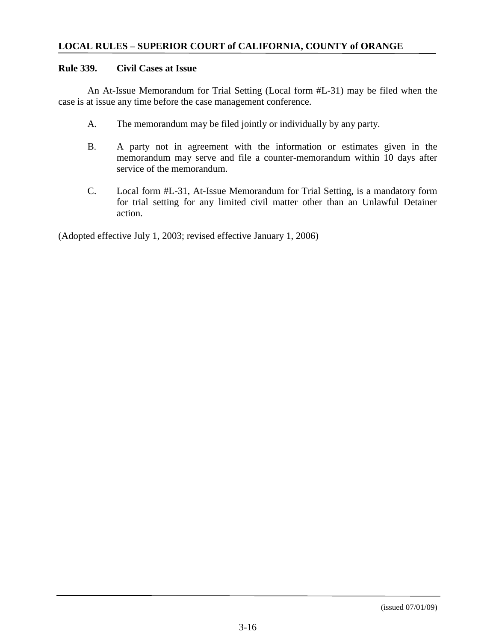#### **Rule 339. Civil Cases at Issue**

An At-Issue Memorandum for Trial Setting (Local form #L-31) may be filed when the case is at issue any time before the case management conference.

- A. The memorandum may be filed jointly or individually by any party.
- B. A party not in agreement with the information or estimates given in the memorandum may serve and file a counter-memorandum within 10 days after service of the memorandum.
- C. Local form #L-31, At-Issue Memorandum for Trial Setting, is a mandatory form for trial setting for any limited civil matter other than an Unlawful Detainer action.

(Adopted effective July 1, 2003; revised effective January 1, 2006)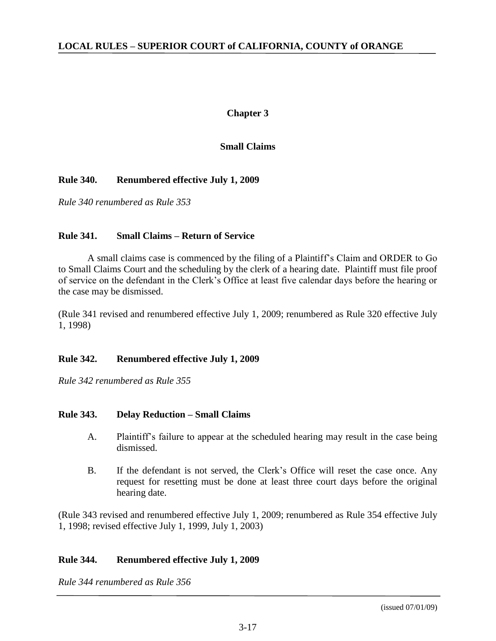## **Chapter 3**

# **Small Claims**

## **Rule 340. Renumbered effective July 1, 2009**

*Rule 340 renumbered as Rule 353*

#### **Rule 341. Small Claims – Return of Service**

A small claims case is commenced by the filing of a Plaintiff's Claim and ORDER to Go to Small Claims Court and the scheduling by the clerk of a hearing date. Plaintiff must file proof of service on the defendant in the Clerk's Office at least five calendar days before the hearing or the case may be dismissed.

(Rule 341 revised and renumbered effective July 1, 2009; renumbered as Rule 320 effective July 1, 1998)

#### **Rule 342. Renumbered effective July 1, 2009**

*Rule 342 renumbered as Rule 355*

#### **Rule 343. Delay Reduction – Small Claims**

- A. Plaintiff's failure to appear at the scheduled hearing may result in the case being dismissed.
- B. If the defendant is not served, the Clerk's Office will reset the case once. Any request for resetting must be done at least three court days before the original hearing date.

(Rule 343 revised and renumbered effective July 1, 2009; renumbered as Rule 354 effective July 1, 1998; revised effective July 1, 1999, July 1, 2003)

#### **Rule 344. Renumbered effective July 1, 2009**

*Rule 344 renumbered as Rule 356*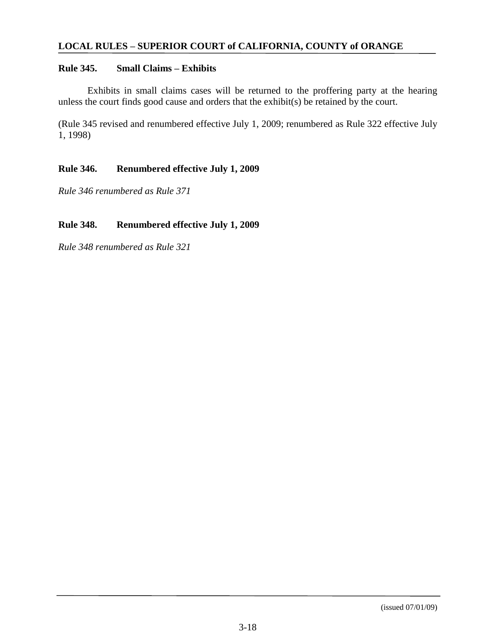## **Rule 345. Small Claims – Exhibits**

Exhibits in small claims cases will be returned to the proffering party at the hearing unless the court finds good cause and orders that the exhibit(s) be retained by the court.

(Rule 345 revised and renumbered effective July 1, 2009; renumbered as Rule 322 effective July 1, 1998)

## **Rule 346. Renumbered effective July 1, 2009**

*Rule 346 renumbered as Rule 371*

## **Rule 348. Renumbered effective July 1, 2009**

*Rule 348 renumbered as Rule 321*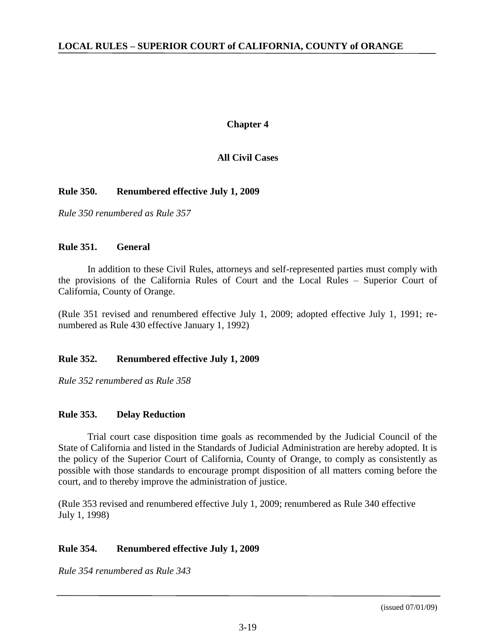## **Chapter 4**

# **All Civil Cases**

## **Rule 350. Renumbered effective July 1, 2009**

*Rule 350 renumbered as Rule 357*

## **Rule 351. General**

In addition to these Civil Rules, attorneys and self-represented parties must comply with the provisions of the California Rules of Court and the Local Rules – Superior Court of California, County of Orange.

(Rule 351 revised and renumbered effective July 1, 2009; adopted effective July 1, 1991; renumbered as Rule 430 effective January 1, 1992)

#### **Rule 352. Renumbered effective July 1, 2009**

*Rule 352 renumbered as Rule 358*

# **Rule 353. Delay Reduction**

Trial court case disposition time goals as recommended by the Judicial Council of the State of California and listed in the Standards of Judicial Administration are hereby adopted. It is the policy of the Superior Court of California, County of Orange, to comply as consistently as possible with those standards to encourage prompt disposition of all matters coming before the court, and to thereby improve the administration of justice.

(Rule 353 revised and renumbered effective July 1, 2009; renumbered as Rule 340 effective July 1, 1998)

# **Rule 354. Renumbered effective July 1, 2009**

*Rule 354 renumbered as Rule 343*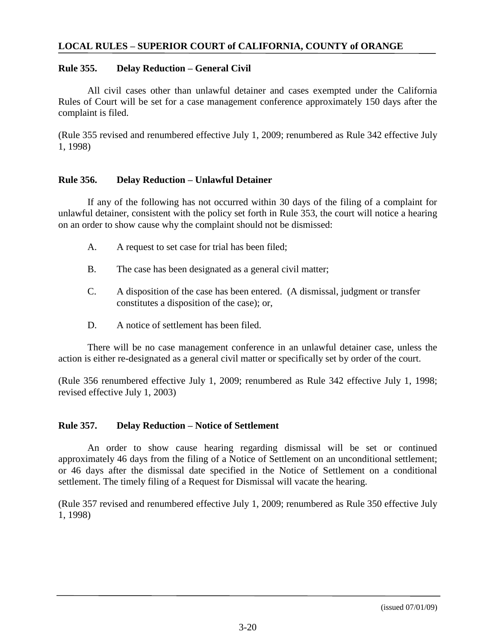#### **Rule 355. Delay Reduction – General Civil**

All civil cases other than unlawful detainer and cases exempted under the California Rules of Court will be set for a case management conference approximately 150 days after the complaint is filed.

(Rule 355 revised and renumbered effective July 1, 2009; renumbered as Rule 342 effective July 1, 1998)

## **Rule 356. Delay Reduction – Unlawful Detainer**

If any of the following has not occurred within 30 days of the filing of a complaint for unlawful detainer, consistent with the policy set forth in Rule 353, the court will notice a hearing on an order to show cause why the complaint should not be dismissed:

- A. A request to set case for trial has been filed;
- B. The case has been designated as a general civil matter;
- C. A disposition of the case has been entered. (A dismissal, judgment or transfer constitutes a disposition of the case); or,
- D. A notice of settlement has been filed.

There will be no case management conference in an unlawful detainer case, unless the action is either re-designated as a general civil matter or specifically set by order of the court.

(Rule 356 renumbered effective July 1, 2009; renumbered as Rule 342 effective July 1, 1998; revised effective July 1, 2003)

#### **Rule 357. Delay Reduction – Notice of Settlement**

An order to show cause hearing regarding dismissal will be set or continued approximately 46 days from the filing of a Notice of Settlement on an unconditional settlement; or 46 days after the dismissal date specified in the Notice of Settlement on a conditional settlement. The timely filing of a Request for Dismissal will vacate the hearing.

(Rule 357 revised and renumbered effective July 1, 2009; renumbered as Rule 350 effective July 1, 1998)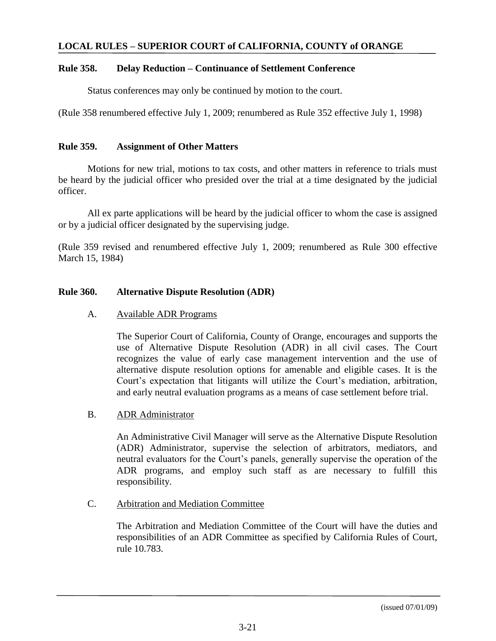### **Rule 358. Delay Reduction – Continuance of Settlement Conference**

Status conferences may only be continued by motion to the court.

(Rule 358 renumbered effective July 1, 2009; renumbered as Rule 352 effective July 1, 1998)

## **Rule 359. Assignment of Other Matters**

Motions for new trial, motions to tax costs, and other matters in reference to trials must be heard by the judicial officer who presided over the trial at a time designated by the judicial officer.

All ex parte applications will be heard by the judicial officer to whom the case is assigned or by a judicial officer designated by the supervising judge.

(Rule 359 revised and renumbered effective July 1, 2009; renumbered as Rule 300 effective March 15, 1984)

## **Rule 360. Alternative Dispute Resolution (ADR)**

## A. Available ADR Programs

The Superior Court of California, County of Orange, encourages and supports the use of Alternative Dispute Resolution (ADR) in all civil cases. The Court recognizes the value of early case management intervention and the use of alternative dispute resolution options for amenable and eligible cases. It is the Court's expectation that litigants will utilize the Court's mediation, arbitration, and early neutral evaluation programs as a means of case settlement before trial.

#### B. ADR Administrator

An Administrative Civil Manager will serve as the Alternative Dispute Resolution (ADR) Administrator, supervise the selection of arbitrators, mediators, and neutral evaluators for the Court's panels, generally supervise the operation of the ADR programs, and employ such staff as are necessary to fulfill this responsibility.

# C. Arbitration and Mediation Committee

The Arbitration and Mediation Committee of the Court will have the duties and responsibilities of an ADR Committee as specified by California Rules of Court, rule 10.783.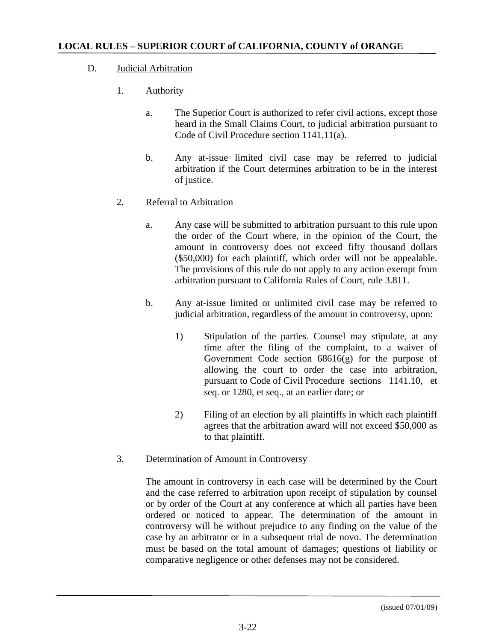- D. Judicial Arbitration
	- 1. Authority
		- a. The Superior Court is authorized to refer civil actions, except those heard in the Small Claims Court, to judicial arbitration pursuant to Code of Civil Procedure section 1141.11(a).
		- b. Any at-issue limited civil case may be referred to judicial arbitration if the Court determines arbitration to be in the interest of justice.
	- 2. Referral to Arbitration
		- a. Any case will be submitted to arbitration pursuant to this rule upon the order of the Court where, in the opinion of the Court, the amount in controversy does not exceed fifty thousand dollars (\$50,000) for each plaintiff, which order will not be appealable. The provisions of this rule do not apply to any action exempt from arbitration pursuant to California Rules of Court, rule 3.811.
		- b. Any at-issue limited or unlimited civil case may be referred to judicial arbitration, regardless of the amount in controversy, upon:
			- 1) Stipulation of the parties. Counsel may stipulate, at any time after the filing of the complaint, to a waiver of Government Code section  $68616(g)$  for the purpose of allowing the court to order the case into arbitration, pursuant to Code of Civil Procedure sections 1141.10, et seq. or 1280, et seq., at an earlier date; or
			- 2) Filing of an election by all plaintiffs in which each plaintiff agrees that the arbitration award will not exceed \$50,000 as to that plaintiff.
	- 3. Determination of Amount in Controversy

The amount in controversy in each case will be determined by the Court and the case referred to arbitration upon receipt of stipulation by counsel or by order of the Court at any conference at which all parties have been ordered or noticed to appear. The determination of the amount in controversy will be without prejudice to any finding on the value of the case by an arbitrator or in a subsequent trial de novo. The determination must be based on the total amount of damages; questions of liability or comparative negligence or other defenses may not be considered.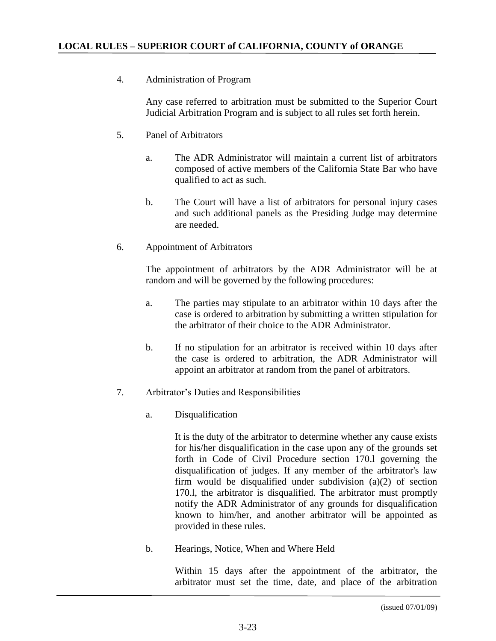# 4. Administration of Program

Any case referred to arbitration must be submitted to the Superior Court Judicial Arbitration Program and is subject to all rules set forth herein.

- 5. Panel of Arbitrators
	- a. The ADR Administrator will maintain a current list of arbitrators composed of active members of the California State Bar who have qualified to act as such.
	- b. The Court will have a list of arbitrators for personal injury cases and such additional panels as the Presiding Judge may determine are needed.
- 6. Appointment of Arbitrators

The appointment of arbitrators by the ADR Administrator will be at random and will be governed by the following procedures:

- a. The parties may stipulate to an arbitrator within 10 days after the case is ordered to arbitration by submitting a written stipulation for the arbitrator of their choice to the ADR Administrator.
- b. If no stipulation for an arbitrator is received within 10 days after the case is ordered to arbitration, the ADR Administrator will appoint an arbitrator at random from the panel of arbitrators.
- 7. Arbitrator's Duties and Responsibilities
	- a. Disqualification

It is the duty of the arbitrator to determine whether any cause exists for his/her disqualification in the case upon any of the grounds set forth in Code of Civil Procedure section 170.l governing the disqualification of judges. If any member of the arbitrator's law firm would be disqualified under subdivision (a)(2) of section 170.l, the arbitrator is disqualified. The arbitrator must promptly notify the ADR Administrator of any grounds for disqualification known to him/her, and another arbitrator will be appointed as provided in these rules.

b. Hearings, Notice, When and Where Held

Within 15 days after the appointment of the arbitrator, the arbitrator must set the time, date, and place of the arbitration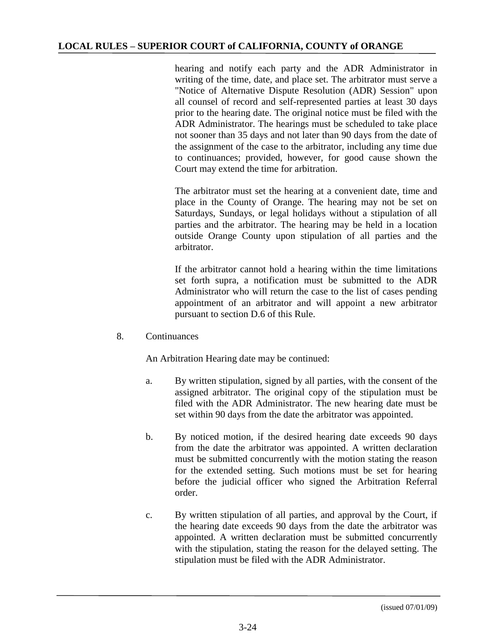hearing and notify each party and the ADR Administrator in writing of the time, date, and place set. The arbitrator must serve a "Notice of Alternative Dispute Resolution (ADR) Session" upon all counsel of record and self-represented parties at least 30 days prior to the hearing date. The original notice must be filed with the ADR Administrator. The hearings must be scheduled to take place not sooner than 35 days and not later than 90 days from the date of the assignment of the case to the arbitrator, including any time due to continuances; provided, however, for good cause shown the Court may extend the time for arbitration.

The arbitrator must set the hearing at a convenient date, time and place in the County of Orange. The hearing may not be set on Saturdays, Sundays, or legal holidays without a stipulation of all parties and the arbitrator. The hearing may be held in a location outside Orange County upon stipulation of all parties and the arbitrator.

If the arbitrator cannot hold a hearing within the time limitations set forth supra, a notification must be submitted to the ADR Administrator who will return the case to the list of cases pending appointment of an arbitrator and will appoint a new arbitrator pursuant to section D.6 of this Rule.

8. Continuances

An Arbitration Hearing date may be continued:

- a. By written stipulation, signed by all parties, with the consent of the assigned arbitrator. The original copy of the stipulation must be filed with the ADR Administrator. The new hearing date must be set within 90 days from the date the arbitrator was appointed.
- b. By noticed motion, if the desired hearing date exceeds 90 days from the date the arbitrator was appointed. A written declaration must be submitted concurrently with the motion stating the reason for the extended setting. Such motions must be set for hearing before the judicial officer who signed the Arbitration Referral order.
- c. By written stipulation of all parties, and approval by the Court, if the hearing date exceeds 90 days from the date the arbitrator was appointed. A written declaration must be submitted concurrently with the stipulation, stating the reason for the delayed setting. The stipulation must be filed with the ADR Administrator.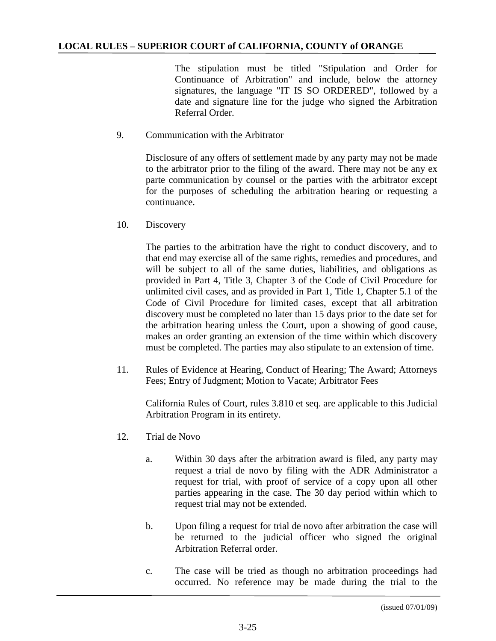The stipulation must be titled "Stipulation and Order for Continuance of Arbitration" and include, below the attorney signatures, the language "IT IS SO ORDERED", followed by a date and signature line for the judge who signed the Arbitration Referral Order.

## 9. Communication with the Arbitrator

Disclosure of any offers of settlement made by any party may not be made to the arbitrator prior to the filing of the award. There may not be any ex parte communication by counsel or the parties with the arbitrator except for the purposes of scheduling the arbitration hearing or requesting a continuance.

10. Discovery

The parties to the arbitration have the right to conduct discovery, and to that end may exercise all of the same rights, remedies and procedures, and will be subject to all of the same duties, liabilities, and obligations as provided in Part 4, Title 3, Chapter 3 of the Code of Civil Procedure for unlimited civil cases, and as provided in Part 1, Title 1, Chapter 5.1 of the Code of Civil Procedure for limited cases, except that all arbitration discovery must be completed no later than 15 days prior to the date set for the arbitration hearing unless the Court, upon a showing of good cause, makes an order granting an extension of the time within which discovery must be completed. The parties may also stipulate to an extension of time.

11. Rules of Evidence at Hearing, Conduct of Hearing; The Award; Attorneys Fees; Entry of Judgment; Motion to Vacate; Arbitrator Fees

California Rules of Court, rules 3.810 et seq. are applicable to this Judicial Arbitration Program in its entirety.

- 12. Trial de Novo
	- a. Within 30 days after the arbitration award is filed, any party may request a trial de novo by filing with the ADR Administrator a request for trial, with proof of service of a copy upon all other parties appearing in the case. The 30 day period within which to request trial may not be extended.
	- b. Upon filing a request for trial de novo after arbitration the case will be returned to the judicial officer who signed the original Arbitration Referral order.
	- c. The case will be tried as though no arbitration proceedings had occurred. No reference may be made during the trial to the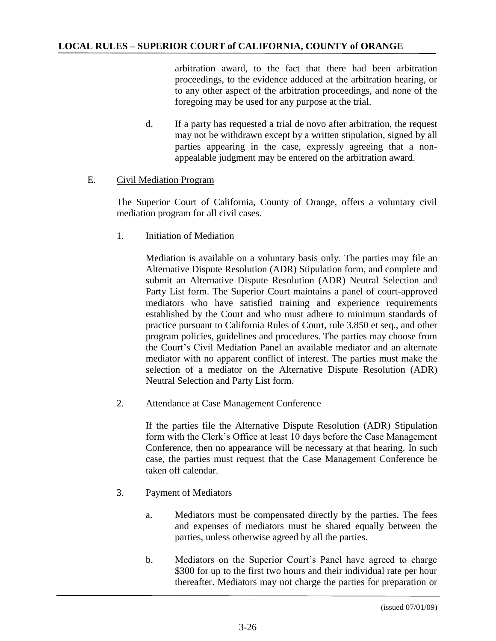arbitration award, to the fact that there had been arbitration proceedings, to the evidence adduced at the arbitration hearing, or to any other aspect of the arbitration proceedings, and none of the foregoing may be used for any purpose at the trial.

d. If a party has requested a trial de novo after arbitration, the request may not be withdrawn except by a written stipulation, signed by all parties appearing in the case, expressly agreeing that a nonappealable judgment may be entered on the arbitration award.

# E. Civil Mediation Program

The Superior Court of California, County of Orange, offers a voluntary civil mediation program for all civil cases.

1. Initiation of Mediation

Mediation is available on a voluntary basis only. The parties may file an Alternative Dispute Resolution (ADR) Stipulation form, and complete and submit an Alternative Dispute Resolution (ADR) Neutral Selection and Party List form. The Superior Court maintains a panel of court-approved mediators who have satisfied training and experience requirements established by the Court and who must adhere to minimum standards of practice pursuant to California Rules of Court, rule 3.850 et seq., and other program policies, guidelines and procedures. The parties may choose from the Court's Civil Mediation Panel an available mediator and an alternate mediator with no apparent conflict of interest. The parties must make the selection of a mediator on the Alternative Dispute Resolution (ADR) Neutral Selection and Party List form.

2. Attendance at Case Management Conference

If the parties file the Alternative Dispute Resolution (ADR) Stipulation form with the Clerk's Office at least 10 days before the Case Management Conference, then no appearance will be necessary at that hearing. In such case, the parties must request that the Case Management Conference be taken off calendar.

- 3. Payment of Mediators
	- a. Mediators must be compensated directly by the parties. The fees and expenses of mediators must be shared equally between the parties, unless otherwise agreed by all the parties.
	- b. Mediators on the Superior Court's Panel have agreed to charge \$300 for up to the first two hours and their individual rate per hour thereafter. Mediators may not charge the parties for preparation or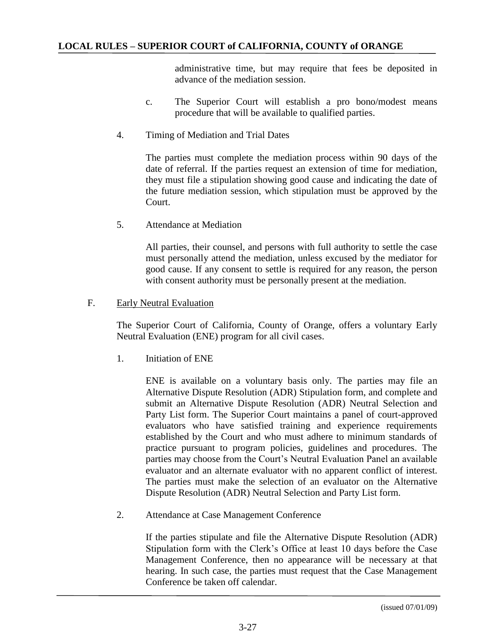administrative time, but may require that fees be deposited in advance of the mediation session.

- c. The Superior Court will establish a pro bono/modest means procedure that will be available to qualified parties.
- 4. Timing of Mediation and Trial Dates

The parties must complete the mediation process within 90 days of the date of referral. If the parties request an extension of time for mediation, they must file a stipulation showing good cause and indicating the date of the future mediation session, which stipulation must be approved by the Court.

5. Attendance at Mediation

All parties, their counsel, and persons with full authority to settle the case must personally attend the mediation, unless excused by the mediator for good cause. If any consent to settle is required for any reason, the person with consent authority must be personally present at the mediation.

## F. Early Neutral Evaluation

The Superior Court of California, County of Orange, offers a voluntary Early Neutral Evaluation (ENE) program for all civil cases.

1. Initiation of ENE

ENE is available on a voluntary basis only. The parties may file an Alternative Dispute Resolution (ADR) Stipulation form, and complete and submit an Alternative Dispute Resolution (ADR) Neutral Selection and Party List form. The Superior Court maintains a panel of court-approved evaluators who have satisfied training and experience requirements established by the Court and who must adhere to minimum standards of practice pursuant to program policies, guidelines and procedures. The parties may choose from the Court's Neutral Evaluation Panel an available evaluator and an alternate evaluator with no apparent conflict of interest. The parties must make the selection of an evaluator on the Alternative Dispute Resolution (ADR) Neutral Selection and Party List form.

2. Attendance at Case Management Conference

If the parties stipulate and file the Alternative Dispute Resolution (ADR) Stipulation form with the Clerk's Office at least 10 days before the Case Management Conference, then no appearance will be necessary at that hearing. In such case, the parties must request that the Case Management Conference be taken off calendar.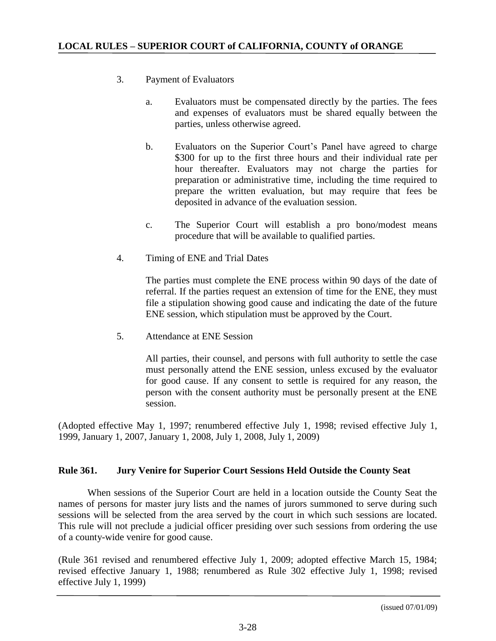- 3. Payment of Evaluators
	- a. Evaluators must be compensated directly by the parties. The fees and expenses of evaluators must be shared equally between the parties, unless otherwise agreed.
	- b. Evaluators on the Superior Court's Panel have agreed to charge \$300 for up to the first three hours and their individual rate per hour thereafter. Evaluators may not charge the parties for preparation or administrative time, including the time required to prepare the written evaluation, but may require that fees be deposited in advance of the evaluation session.
	- c. The Superior Court will establish a pro bono/modest means procedure that will be available to qualified parties.
- 4. Timing of ENE and Trial Dates

The parties must complete the ENE process within 90 days of the date of referral. If the parties request an extension of time for the ENE, they must file a stipulation showing good cause and indicating the date of the future ENE session, which stipulation must be approved by the Court.

5. Attendance at ENE Session

All parties, their counsel, and persons with full authority to settle the case must personally attend the ENE session, unless excused by the evaluator for good cause. If any consent to settle is required for any reason, the person with the consent authority must be personally present at the ENE session.

(Adopted effective May 1, 1997; renumbered effective July 1, 1998; revised effective July 1, 1999, January 1, 2007, January 1, 2008, July 1, 2008, July 1, 2009)

# **Rule 361. Jury Venire for Superior Court Sessions Held Outside the County Seat**

When sessions of the Superior Court are held in a location outside the County Seat the names of persons for master jury lists and the names of jurors summoned to serve during such sessions will be selected from the area served by the court in which such sessions are located. This rule will not preclude a judicial officer presiding over such sessions from ordering the use of a county-wide venire for good cause.

(Rule 361 revised and renumbered effective July 1, 2009; adopted effective March 15, 1984; revised effective January 1, 1988; renumbered as Rule 302 effective July 1, 1998; revised effective July 1, 1999)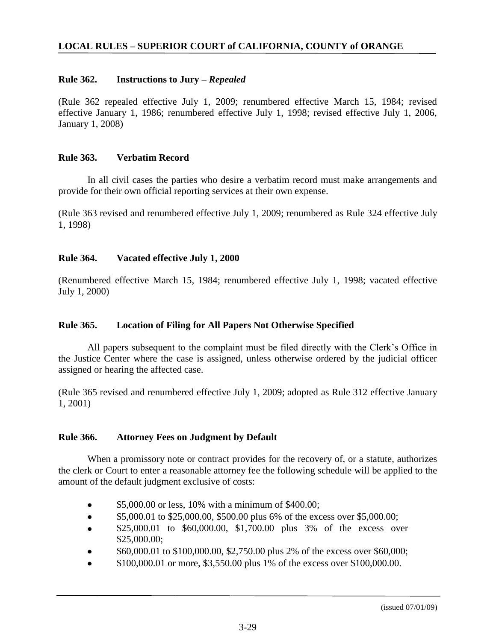# **Rule 362. Instructions to Jury –** *Repealed*

(Rule 362 repealed effective July 1, 2009; renumbered effective March 15, 1984; revised effective January 1, 1986; renumbered effective July 1, 1998; revised effective July 1, 2006, January 1, 2008)

## **Rule 363. Verbatim Record**

In all civil cases the parties who desire a verbatim record must make arrangements and provide for their own official reporting services at their own expense.

(Rule 363 revised and renumbered effective July 1, 2009; renumbered as Rule 324 effective July 1, 1998)

# **Rule 364. Vacated effective July 1, 2000**

(Renumbered effective March 15, 1984; renumbered effective July 1, 1998; vacated effective July 1, 2000)

# **Rule 365. Location of Filing for All Papers Not Otherwise Specified**

All papers subsequent to the complaint must be filed directly with the Clerk's Office in the Justice Center where the case is assigned, unless otherwise ordered by the judicial officer assigned or hearing the affected case.

(Rule 365 revised and renumbered effective July 1, 2009; adopted as Rule 312 effective January 1, 2001)

#### **Rule 366. Attorney Fees on Judgment by Default**

When a promissory note or contract provides for the recovery of, or a statute, authorizes the clerk or Court to enter a reasonable attorney fee the following schedule will be applied to the amount of the default judgment exclusive of costs:

- \$5,000.00 or less, 10% with a minimum of \$400.00;
- \$5,000.01 to \$25,000.00, \$500.00 plus 6% of the excess over \$5,000.00;  $\bullet$
- \$25,000.01 to \$60,000.00, \$1,700.00 plus 3% of the excess over \$25,000.00;
- \$60,000.01 to \$100,000.00, \$2,750.00 plus 2% of the excess over \$60,000;
- \$100,000.01 or more, \$3,550.00 plus 1% of the excess over \$100,000.00.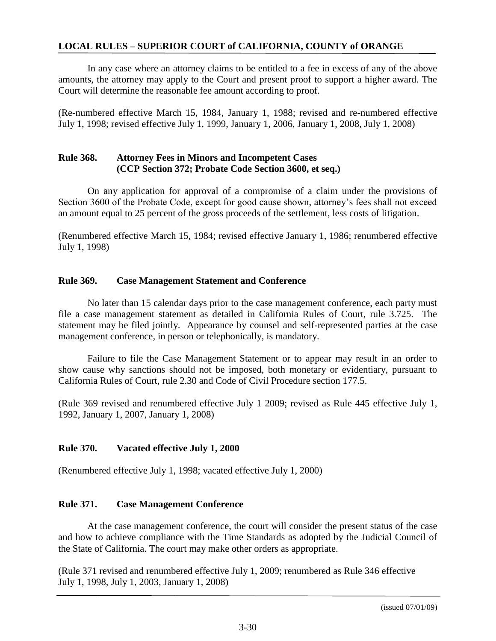In any case where an attorney claims to be entitled to a fee in excess of any of the above amounts, the attorney may apply to the Court and present proof to support a higher award. The Court will determine the reasonable fee amount according to proof.

(Re-numbered effective March 15, 1984, January 1, 1988; revised and re-numbered effective July 1, 1998; revised effective July 1, 1999, January 1, 2006, January 1, 2008, July 1, 2008)

# **Rule 368. Attorney Fees in Minors and Incompetent Cases (CCP Section 372; Probate Code Section 3600, et seq.)**

On any application for approval of a compromise of a claim under the provisions of Section 3600 of the Probate Code, except for good cause shown, attorney's fees shall not exceed an amount equal to 25 percent of the gross proceeds of the settlement, less costs of litigation.

(Renumbered effective March 15, 1984; revised effective January 1, 1986; renumbered effective July 1, 1998)

# **Rule 369. Case Management Statement and Conference**

No later than 15 calendar days prior to the case management conference, each party must file a case management statement as detailed in California Rules of Court, rule 3.725. The statement may be filed jointly. Appearance by counsel and self-represented parties at the case management conference, in person or telephonically, is mandatory.

Failure to file the Case Management Statement or to appear may result in an order to show cause why sanctions should not be imposed, both monetary or evidentiary, pursuant to California Rules of Court, rule 2.30 and Code of Civil Procedure section 177.5.

(Rule 369 revised and renumbered effective July 1 2009; revised as Rule 445 effective July 1, 1992, January 1, 2007, January 1, 2008)

# **Rule 370. Vacated effective July 1, 2000**

(Renumbered effective July 1, 1998; vacated effective July 1, 2000)

# **Rule 371. Case Management Conference**

At the case management conference, the court will consider the present status of the case and how to achieve compliance with the Time Standards as adopted by the Judicial Council of the State of California. The court may make other orders as appropriate.

(Rule 371 revised and renumbered effective July 1, 2009; renumbered as Rule 346 effective July 1, 1998, July 1, 2003, January 1, 2008)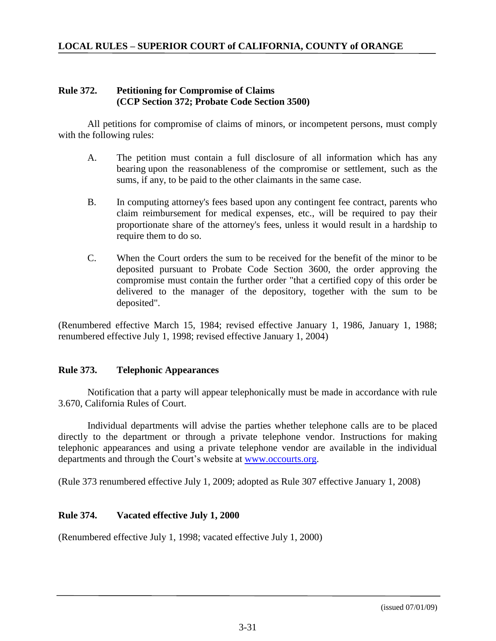#### **Rule 372. Petitioning for Compromise of Claims (CCP Section 372; Probate Code Section 3500)**

All petitions for compromise of claims of minors, or incompetent persons, must comply with the following rules:

- A. The petition must contain a full disclosure of all information which has any bearing upon the reasonableness of the compromise or settlement, such as the sums, if any, to be paid to the other claimants in the same case.
- B. In computing attorney's fees based upon any contingent fee contract, parents who claim reimbursement for medical expenses, etc., will be required to pay their proportionate share of the attorney's fees, unless it would result in a hardship to require them to do so.
- C. When the Court orders the sum to be received for the benefit of the minor to be deposited pursuant to Probate Code Section 3600, the order approving the compromise must contain the further order "that a certified copy of this order be delivered to the manager of the depository, together with the sum to be deposited".

(Renumbered effective March 15, 1984; revised effective January 1, 1986, January 1, 1988; renumbered effective July 1, 1998; revised effective January 1, 2004)

#### **Rule 373. Telephonic Appearances**

Notification that a party will appear telephonically must be made in accordance with rule 3.670, California Rules of Court.

Individual departments will advise the parties whether telephone calls are to be placed directly to the department or through a private telephone vendor. Instructions for making telephonic appearances and using a private telephone vendor are available in the individual departments and through the Court's website at [www.occourts.org.](http://www.occourts.org/)

(Rule 373 renumbered effective July 1, 2009; adopted as Rule 307 effective January 1, 2008)

# **Rule 374. Vacated effective July 1, 2000**

(Renumbered effective July 1, 1998; vacated effective July 1, 2000)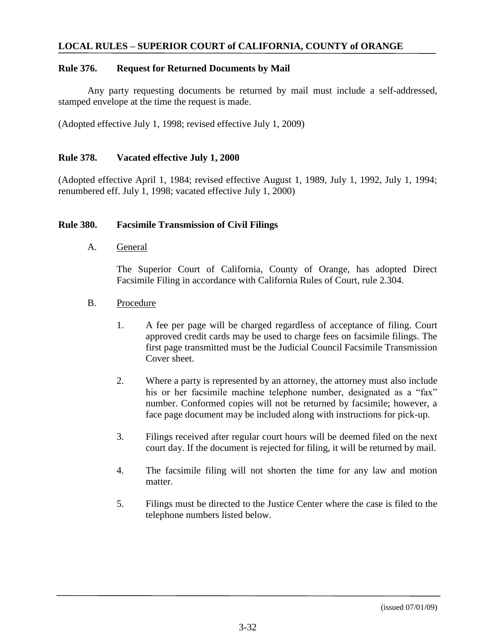#### **Rule 376. Request for Returned Documents by Mail**

Any party requesting documents be returned by mail must include a self-addressed, stamped envelope at the time the request is made.

(Adopted effective July 1, 1998; revised effective July 1, 2009)

#### **Rule 378. Vacated effective July 1, 2000**

(Adopted effective April 1, 1984; revised effective August 1, 1989, July 1, 1992, July 1, 1994; renumbered eff. July 1, 1998; vacated effective July 1, 2000)

#### **Rule 380. Facsimile Transmission of Civil Filings**

A. General

The Superior Court of California, County of Orange, has adopted Direct Facsimile Filing in accordance with California Rules of Court, rule 2.304.

- B. Procedure
	- 1. A fee per page will be charged regardless of acceptance of filing. Court approved credit cards may be used to charge fees on facsimile filings. The first page transmitted must be the Judicial Council Facsimile Transmission Cover sheet.
	- 2. Where a party is represented by an attorney, the attorney must also include his or her facsimile machine telephone number, designated as a "fax" number. Conformed copies will not be returned by facsimile; however, a face page document may be included along with instructions for pick-up.
	- 3. Filings received after regular court hours will be deemed filed on the next court day. If the document is rejected for filing, it will be returned by mail.
	- 4. The facsimile filing will not shorten the time for any law and motion matter.
	- 5. Filings must be directed to the Justice Center where the case is filed to the telephone numbers listed below.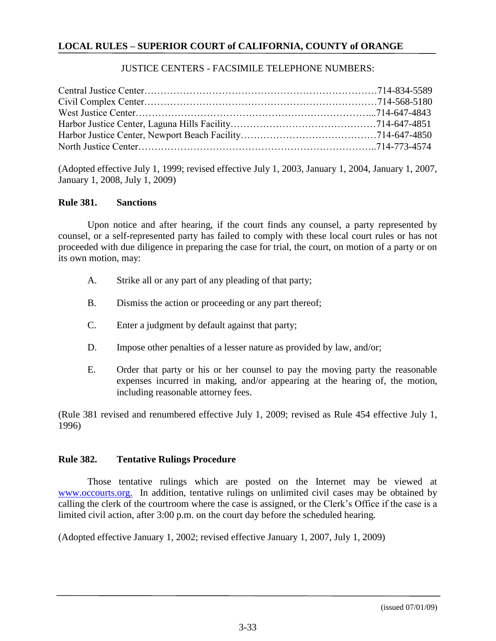## JUSTICE CENTERS - FACSIMILE TELEPHONE NUMBERS:

(Adopted effective July 1, 1999; revised effective July 1, 2003, January 1, 2004, January 1, 2007, January 1, 2008, July 1, 2009)

#### **Rule 381. Sanctions**

Upon notice and after hearing, if the court finds any counsel, a party represented by counsel, or a self-represented party has failed to comply with these local court rules or has not proceeded with due diligence in preparing the case for trial, the court, on motion of a party or on its own motion, may:

- A. Strike all or any part of any pleading of that party;
- B. Dismiss the action or proceeding or any part thereof;
- C. Enter a judgment by default against that party;
- D. Impose other penalties of a lesser nature as provided by law, and/or;
- E. Order that party or his or her counsel to pay the moving party the reasonable expenses incurred in making, and/or appearing at the hearing of, the motion, including reasonable attorney fees.

(Rule 381 revised and renumbered effective July 1, 2009; revised as Rule 454 effective July 1, 1996)

#### **Rule 382. Tentative Rulings Procedure**

Those tentative rulings which are posted on the Internet may be viewed at [www.occourts.org.](http://WWW.OC.CA.GOV) In addition, tentative rulings on unlimited civil cases may be obtained by calling the clerk of the courtroom where the case is assigned, or the Clerk's Office if the case is a limited civil action, after 3:00 p.m. on the court day before the scheduled hearing.

(Adopted effective January 1, 2002; revised effective January 1, 2007, July 1, 2009)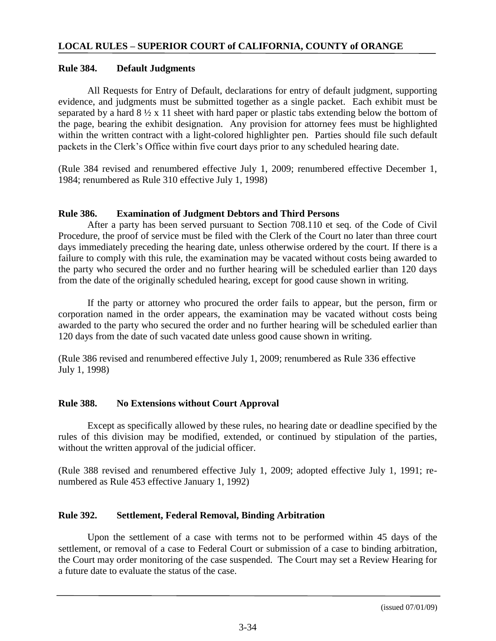# **Rule 384. Default Judgments**

All Requests for Entry of Default, declarations for entry of default judgment, supporting evidence, and judgments must be submitted together as a single packet. Each exhibit must be separated by a hard 8 ½ x 11 sheet with hard paper or plastic tabs extending below the bottom of the page, bearing the exhibit designation. Any provision for attorney fees must be highlighted within the written contract with a light-colored highlighter pen. Parties should file such default packets in the Clerk's Office within five court days prior to any scheduled hearing date.

(Rule 384 revised and renumbered effective July 1, 2009; renumbered effective December 1, 1984; renumbered as Rule 310 effective July 1, 1998)

# **Rule 386. Examination of Judgment Debtors and Third Persons**

After a party has been served pursuant to Section 708.110 et seq. of the Code of Civil Procedure, the proof of service must be filed with the Clerk of the Court no later than three court days immediately preceding the hearing date, unless otherwise ordered by the court. If there is a failure to comply with this rule, the examination may be vacated without costs being awarded to the party who secured the order and no further hearing will be scheduled earlier than 120 days from the date of the originally scheduled hearing, except for good cause shown in writing.

If the party or attorney who procured the order fails to appear, but the person, firm or corporation named in the order appears, the examination may be vacated without costs being awarded to the party who secured the order and no further hearing will be scheduled earlier than 120 days from the date of such vacated date unless good cause shown in writing.

(Rule 386 revised and renumbered effective July 1, 2009; renumbered as Rule 336 effective July 1, 1998)

# **Rule 388. No Extensions without Court Approval**

Except as specifically allowed by these rules, no hearing date or deadline specified by the rules of this division may be modified, extended, or continued by stipulation of the parties, without the written approval of the judicial officer.

(Rule 388 revised and renumbered effective July 1, 2009; adopted effective July 1, 1991; renumbered as Rule 453 effective January 1, 1992)

# **Rule 392. Settlement, Federal Removal, Binding Arbitration**

Upon the settlement of a case with terms not to be performed within 45 days of the settlement, or removal of a case to Federal Court or submission of a case to binding arbitration, the Court may order monitoring of the case suspended. The Court may set a Review Hearing for a future date to evaluate the status of the case.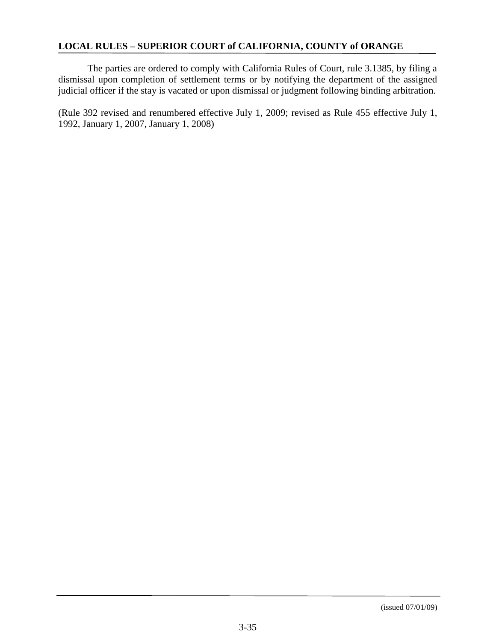The parties are ordered to comply with California Rules of Court, rule 3.1385, by filing a dismissal upon completion of settlement terms or by notifying the department of the assigned judicial officer if the stay is vacated or upon dismissal or judgment following binding arbitration.

(Rule 392 revised and renumbered effective July 1, 2009; revised as Rule 455 effective July 1, 1992, January 1, 2007, January 1, 2008)